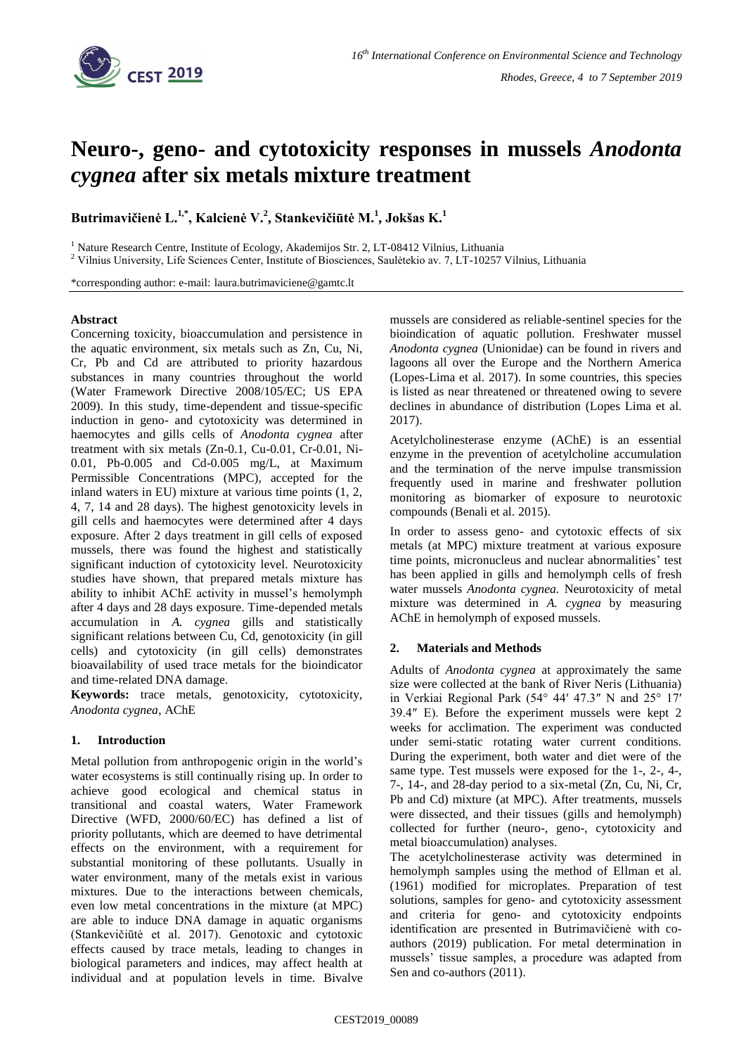

# **Neuro-, geno- and cytotoxicity responses in mussels** *Anodonta cygnea* **after six metals mixture treatment**

**Butrimavičienė L.1,\* , Kalcienė V.<sup>2</sup> , Stankevičiūtė M.<sup>1</sup> , Jokšas K.<sup>1</sup>**

<sup>1</sup> Nature Research Centre, Institute of Ecology, Akademijos Str. 2, LT-08412 Vilnius, Lithuania

<sup>2</sup> Vilnius University, Life Sciences Center, Institute of Biosciences, Saulėtekio av. 7, LT-10257 Vilnius, Lithuania

\*corresponding author: e-mail: laura.butrimaviciene@gamtc.lt

#### **Abstract**

Concerning toxicity, bioaccumulation and persistence in the aquatic environment, six metals such as Zn, Cu, Ni, Cr, Pb and Cd are attributed to priority hazardous substances in many countries throughout the world (Water Framework Directive 2008/105/EC; US EPA 2009). In this study, time-dependent and tissue-specific induction in geno- and cytotoxicity was determined in haemocytes and gills cells of *Anodonta cygnea* after treatment with six metals (Zn-0.1, Cu-0.01, Cr-0.01, Ni-0.01, Pb-0.005 and Cd-0.005 mg/L, at Maximum Permissible Concentrations (MPC), accepted for the inland waters in EU) mixture at various time points (1, 2, 4, 7, 14 and 28 days). The highest genotoxicity levels in gill cells and haemocytes were determined after 4 days exposure. After 2 days treatment in gill cells of exposed mussels, there was found the highest and statistically significant induction of cytotoxicity level. Neurotoxicity studies have shown, that prepared metals mixture has ability to inhibit AChE activity in mussel's hemolymph after 4 days and 28 days exposure. Time-depended metals accumulation in *A. cygnea* gills and statistically significant relations between Cu, Cd, genotoxicity (in gill cells) and cytotoxicity (in gill cells) demonstrates bioavailability of used trace metals for the bioindicator and time-related DNA damage.

**Keywords:** trace metals, genotoxicity, cytotoxicity, *Anodonta cygnea*, AChE

## **1. Introduction**

Metal pollution from anthropogenic origin in the world's water ecosystems is still continually rising up. In order to achieve good ecological and chemical status in transitional and coastal waters, Water Framework Directive (WFD, 2000/60/EC) has defined a list of priority pollutants, which are deemed to have detrimental effects on the environment, with a requirement for substantial monitoring of these pollutants. Usually in water environment, many of the metals exist in various mixtures. Due to the interactions between chemicals, even low metal concentrations in the mixture (at MPC) are able to induce DNA damage in aquatic organisms (Stankevičiūtė et al. 2017). Genotoxic and cytotoxic effects caused by trace metals, leading to changes in biological parameters and indices, may affect health at individual and at population levels in time. Bivalve

mussels are considered as reliable-sentinel species for the bioindication of aquatic pollution. Freshwater mussel *Anodonta cygnea* (Unionidae) can be found in rivers and lagoons all over the Europe and the Northern America (Lopes-Lima et al. 2017). In some countries, this species is listed as near threatened or threatened owing to severe declines in abundance of distribution (Lopes Lima et al. 2017).

Acetylcholinesterase enzyme (AChE) is an essential enzyme in the prevention of acetylcholine accumulation and the termination of the nerve impulse transmission frequently used in marine and freshwater pollution monitoring as biomarker of exposure to neurotoxic compounds (Benali et al. 2015).

In order to assess geno- and cytotoxic effects of six metals (at MPC) mixture treatment at various exposure time points, micronucleus and nuclear abnormalities' test has been applied in gills and hemolymph cells of fresh water mussels *Anodonta cygnea.* Neurotoxicity of metal mixture was determined in *A. cygnea* by measuring AChE in hemolymph of exposed mussels.

## **2. Materials and Methods**

Adults of *Anodonta cygnea* at approximately the same size were collected at the bank of River Neris (Lithuania) in Verkiai Regional Park (54° 44′ 47.3″ N and 25° 17′ 39.4″ E). Before the experiment mussels were kept 2 weeks for acclimation. The experiment was conducted under semi-static rotating water current conditions. During the experiment, both water and diet were of the same type. Test mussels were exposed for the 1-, 2-, 4-, 7-, 14-, and 28-day period to a six-metal (Zn, Cu, Ni, Cr, Pb and Cd) mixture (at MPC). After treatments, mussels were dissected, and their tissues (gills and hemolymph) collected for further (neuro-, geno-, cytotoxicity and metal bioaccumulation) analyses.

The acetylcholinesterase activity was determined in hemolymph samples using the method of Ellman et al. (1961) modified for microplates. Preparation of test solutions, samples for geno- and cytotoxicity assessment and criteria for geno- and cytotoxicity endpoints identification are presented in Butrimavičienė with coauthors (2019) publication. For metal determination in mussels' tissue samples, a procedure was adapted from Sen and co-authors (2011).